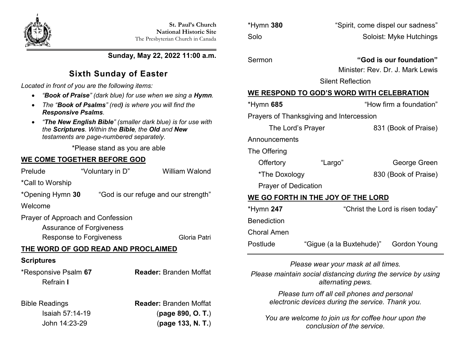

**Sunday, May 22, 2022 11:00 a.m.**

# **Sixth Sunday of Easter**

*Located in front of you are the following items:*

- *"Book of Praise" (dark blue) for use when we sing a Hymn.*
- *The "Book of Psalms" (red) is where you will find the Responsive Psalms.*
- *"The New English Bible" (smaller dark blue) is for use with the Scriptures. Within the Bible, the Old and New testaments are page-numbered separately.*

\*Please stand as you are able

## **WE COME TOGETHER BEFORE GOD**

| Prelude                             | "Voluntary in D" | <b>William Walond</b>                |  |  |  |
|-------------------------------------|------------------|--------------------------------------|--|--|--|
| *Call to Worship                    |                  |                                      |  |  |  |
| *Opening Hymn 30                    |                  | "God is our refuge and our strength" |  |  |  |
| Welcome                             |                  |                                      |  |  |  |
| Prayer of Approach and Confession   |                  |                                      |  |  |  |
| Assurance of Forgiveness            |                  |                                      |  |  |  |
| Response to Forgiveness             |                  | Gloria Patri                         |  |  |  |
| THE WORD OF GOD READ AND PROCLAIMED |                  |                                      |  |  |  |
| <b>Scriptures</b>                   |                  |                                      |  |  |  |
| *Responsive Psalm 67<br>Refrain I   |                  | <b>Reader:</b> Branden Moffat        |  |  |  |

Bible Readings **Reader:** Branden Moffat Isaiah 57:14-19 (**page 890, O. T.**) John 14:23-29 (**page 133, N. T.**)

\*Hymn **380** "Spirit, come dispel our sadness" Solo Soloist: Myke Hutchings

Sermon **"God is our foundation"**

Minister: Rev. Dr. J. Mark Lewis

Silent Reflection

## **WE RESPOND TO GOD'S WORD WITH CELEBRATION**

| *Hymn 685                                |                                  | "How firm a foundation" |  |  |  |  |
|------------------------------------------|----------------------------------|-------------------------|--|--|--|--|
| Prayers of Thanksgiving and Intercession |                                  |                         |  |  |  |  |
| The Lord's Prayer                        |                                  | 831 (Book of Praise)    |  |  |  |  |
| Announcements                            |                                  |                         |  |  |  |  |
| The Offering                             |                                  |                         |  |  |  |  |
| Offertory                                | "Largo"                          | George Green            |  |  |  |  |
| *The Doxology                            |                                  | 830 (Book of Praise)    |  |  |  |  |
| <b>Prayer of Dedication</b>              |                                  |                         |  |  |  |  |
| WE GO FORTH IN THE JOY OF THE LORD       |                                  |                         |  |  |  |  |
| *Hymn 247                                | "Christ the Lord is risen today" |                         |  |  |  |  |
| <b>Benediction</b>                       |                                  |                         |  |  |  |  |
| Choral Amen                              |                                  |                         |  |  |  |  |

Postlude "Gigue (a la Buxtehude)" Gordon Young

*Please wear your mask at all times.*

*Please maintain social distancing during the service by using alternating pews.*

> *Please turn off all cell phones and personal electronic devices during the service. Thank you.*

*You are welcome to join us for coffee hour upon the conclusion of the service.*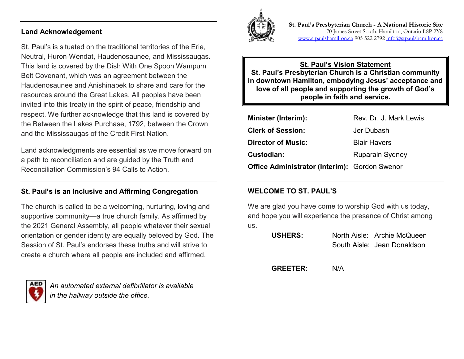#### **Land Acknowledgement**

St. Paul's is situated on the traditional territories of the Erie, Neutral, Huron-Wendat, Haudenosaunee, and Mississaugas. This land is covered by the Dish With One Spoon Wampum Belt Covenant, which was an agreement between the Haudenosaunee and Anishinabek to share and care for the resources around the Great Lakes. All peoples have been invited into this treaty in the spirit of peace, friendship and respect. We further acknowledge that this land is covered by the Between the Lakes Purchase, 1792, between the Crown and the Mississaugas of the Credit First Nation.

Land acknowledgments are essential as we move forward on a path to reconciliation and are guided by the Truth and Reconciliation Commission's 94 Calls to Action.

#### **St. Paul's is an Inclusive and Affirming Congregation**

The church is called to be a welcoming, nurturing, loving and supportive community—a true church family. As affirmed by the 2021 General Assembly, all people whatever their sexual orientation or gender identity are equally beloved by God. The Session of St. Paul's endorses these truths and will strive to create a church where all people are included and affirmed.



*An automated external defibrillator is available in the hallway outside the office.*



**St. Paul's Presbyterian Church - A National Historic Site**  70 James Street South, Hamilton, Ontario L8P 2Y8 [www.stpaulshamilton.ca](http://www.stpaulshamilton.ca/) 905 522 279[2 info@stpaulshamilton.ca](mailto:info@stpaulshamilton.ca)

#### **St. Paul's Vision Statement St. Paul's Presbyterian Church is a Christian community in downtown Hamilton, embodying Jesus' acceptance and love of all people and supporting the growth of God's people in faith and service.**

| <b>Minister (Interim):</b>                           | Rev. Dr. J. Mark Lewis |
|------------------------------------------------------|------------------------|
| <b>Clerk of Session:</b>                             | Jer Dubash             |
| <b>Director of Music:</b>                            | <b>Blair Havers</b>    |
| Custodian:                                           | <b>Ruparain Sydney</b> |
| <b>Office Administrator (Interim): Gordon Swenor</b> |                        |

#### **WELCOME TO ST. PAUL'S**

We are glad you have come to worship God with us today, and hope you will experience the presence of Christ among us.

| <b>USHERS:</b> | North Aisle: Archie McQueen |
|----------------|-----------------------------|
|                | South Aisle: Jean Donaldson |

**GREETER:** N/A